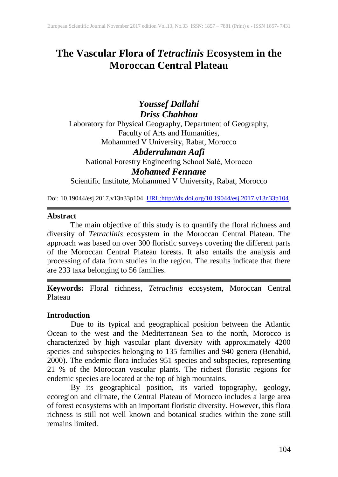# **The Vascular Flora of** *Tetraclinis* **Ecosystem in the Moroccan Central Plateau**

## *Youssef Dallahi Driss Chahhou*

Laboratory for Physical Geography, Department of Geography, Faculty of Arts and Humanities, Mohammed V University, Rabat, Morocco *Abderrahman Aafi* National Forestry Engineering School Salé, Morocco

*Mohamed Fennane*

Scientific Institute, Mohammed V University, Rabat, Morocco

Doi: 10.19044/esj.2017.v13n33p104 [URL:http://dx.doi.org/10.19044/esj.2017.v13n33p104](http://dx.doi.org/10.19044/esj.2017.v13n33p104)

#### **Abstract**

The main objective of this study is to quantify the floral richness and diversity of *Tetraclinis* ecosystem in the Moroccan Central Plateau. The approach was based on over 300 floristic surveys covering the different parts of the Moroccan Central Plateau forests. It also entails the analysis and processing of data from studies in the region. The results indicate that there are 233 taxa belonging to 56 families.

**Keywords:** Floral richness*, Tetraclinis* ecosystem, Moroccan Central Plateau

## **Introduction**

Due to its typical and geographical position between the Atlantic Ocean to the west and the Mediterranean Sea to the north, Morocco is characterized by high vascular plant diversity with approximately 4200 species and subspecies belonging to 135 families and 940 genera (Benabid, 2000). The endemic flora includes 951 species and subspecies, representing 21 % of the Moroccan vascular plants. The richest floristic regions for endemic species are located at the top of high mountains.

By its geographical position, its varied topography, geology, ecoregion and climate, the Central Plateau of Morocco includes a large area of forest ecosystems with an important floristic diversity. However, this flora richness is still not well known and botanical studies within the zone still remains limited.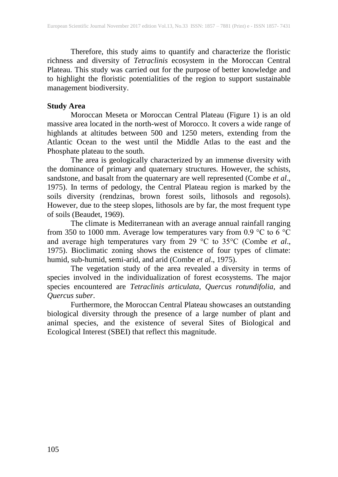Therefore, this study aims to quantify and characterize the floristic richness and diversity of *Tetraclinis* ecosystem in the Moroccan Central Plateau. This study was carried out for the purpose of better knowledge and to highlight the floristic potentialities of the region to support sustainable management biodiversity.

## **Study Area**

Moroccan Meseta or Moroccan Central Plateau (Figure 1) is an old massive area located in the north-west of Morocco. It covers a wide range of highlands at altitudes between 500 and 1250 meters, extending from the Atlantic Ocean to the west until the Middle Atlas to the east and the Phosphate plateau to the south.

The area is geologically characterized by an immense diversity with the dominance of primary and quaternary structures. However, the schists, sandstone, and basalt from the quaternary are well represented (Combe *et al*., 1975). In terms of pedology, the Central Plateau region is marked by the soils diversity (rendzinas, brown forest soils, lithosols and regosols). However, due to the steep slopes, lithosols are by far, the most frequent type of soils (Beaudet, 1969).

The climate is Mediterranean with an average annual rainfall ranging from 350 to 1000 mm. Average low temperatures vary from 0.9 °C to 6 °C and average high temperatures vary from 29 °C to 35°C (Combe *et al*., 1975). Bioclimatic zoning shows the existence of four types of climate: humid, sub-humid, semi-arid, and arid (Combe *et al*., 1975).

The vegetation study of the area revealed a diversity in terms of species involved in the individualization of forest ecosystems. The major species encountered are *Tetraclinis articulata*, *Quercus rotundifolia,* and *Quercus suber*.

Furthermore, the Moroccan Central Plateau showcases an outstanding biological diversity through the presence of a large number of plant and animal species, and the existence of several Sites of Biological and Ecological Interest (SBEI) that reflect this magnitude.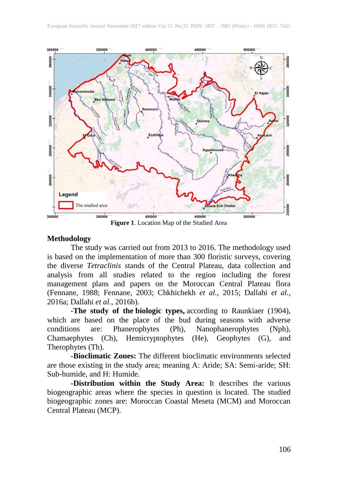

**Figure 1**. Location Map of the Studied Area

#### **Methodology**

The study was carried out from 2013 to 2016. The methodology used is based on the implementation of more than 300 floristic surveys, covering the diverse *Tetraclinis* stands of the Central Plateau, data collection and analysis from all studies related to the region including the forest management plans and papers on the Moroccan Central Plateau flora (Fennane, 1988; Fennane, 2003; Chkhichekh *et al.,* 2015; Dallahi *et al.*, 2016a; Dallahi *et al.*, 2016b).

-**The study of the biologic types,** according to Raunkiaer (1904), which are based on the place of the [bud](https://en.wikipedia.org/wiki/Bud) during seasons with adverse conditions are: Phanerophytes (Ph), Nanophanerophytes (Nph), Chamaephytes (Ch), Hemicryptophytes (He), Geophytes (G), and Therophytes (Th).

**-Bioclimatic Zones:** The different bioclimatic environments selected are those existing in the study area; meaning A: Aride; SA: Semi-aride; SH: Sub-humide, and H: Humide.

**-Distribution within the Study Area:** It describes the various biogeographic areas where the species in question is located. The studied biogeographic zones are: Moroccan Coastal Meseta (MCM) and Moroccan Central Plateau (MCP).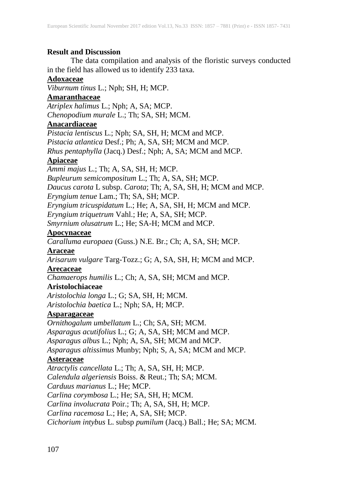## **Result and Discussion**

The data compilation and analysis of the floristic surveys conducted in the field has allowed us to identify 233 taxa.

#### **Adoxaceae**

*Viburnum tinus* L.; Nph; SH, H; MCP.

### **Amaranthaceae**

*Atriplex halimus* L.; Nph; A, SA; MCP. *Chenopodium murale* L.; Th; SA, SH; MCM.

## **Anacardiaceae**

*Pistacia lentiscus* L.; Nph; SA, SH, H; MCM and MCP.

*Pistacia atlantica* Desf.; Ph; A, SA, SH; MCM and MCP.

*Rhus pentaphylla* (Jacq.) Desf.; Nph; A, SA; MCM and MCP.

## **Apiaceae**

*Ammi majus* L.; Th; A, SA, SH, H; MCP. *Bupleurum semicompositum* L.; Th; A, SA, SH; MCP. *Daucus carota* L subsp. *Carota*; Th; A, SA, SH, H; MCM and MCP.

*Eryngium tenue* Lam.; Th; SA, SH; MCP.

*Eryngium tricuspidatum* L.; He; A, SA, SH, H; MCM and MCP.

*Eryngium triquetrum* Vahl.; He; A, SA, SH; MCP.

*Smyrnium olusatrum* L.; He; SA-H; MCM and MCP.

## **Apocynaceae**

*Caralluma europaea* (Guss.) N.E. Br.; Ch; A, SA, SH; MCP.

### **Araceae**

*Arisarum vulgare* Targ-Tozz.; G; A, SA, SH, H; MCM and MCP.

### **Arecaceae**

*Chamaerops humilis* L.; Ch; A, SA, SH; MCM and MCP.

## **Aristolochiaceae**

*Aristolochia longa* L.; G; SA, SH, H; MCM. *Aristolochia baetica* L.; Nph; SA, H; MCP.

## **Asparagaceae**

*Ornithogalum umbellatum* L.; Ch; SA, SH; MCM. *Asparagus acutifolius* L.; G; A, SA, SH; MCM and MCP. *Asparagus albus* L.; Nph; A, SA, SH; MCM and MCP. *Asparagus altissimus* Munby; Nph; S, A, SA; MCM and MCP. **Asteraceae** *Atractylis cancellata* L.; Th; A, SA, SH, H; MCP.

*Calendula algeriensis* Boiss. & Reut.; Th; SA; MCM.

*Carduus marianus* L.; He; MCP.

*Carlina corymbosa* L.; He; SA, SH, H; MCM.

*Carlina involucrata* Poir.; Th; A, SA, SH, H; MCP.

*Carlina racemosa* L.; He; A, SA, SH; MCP.

*Cichorium intybus* L. subsp *pumilum* (Jacq.) Ball.; He; SA; MCM.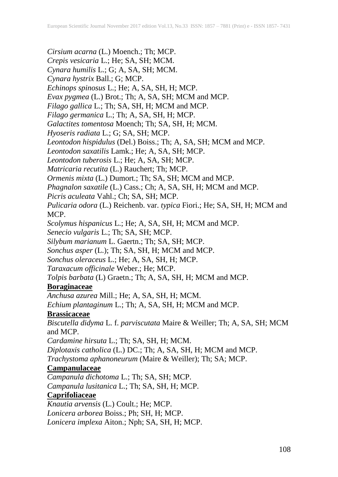- *Cirsium acarna* (L.) Moench.; Th; MCP.
- *Crepis vesicaria* L.; He; SA, SH; MCM.
- *Cynara humilis* L.; G; A, SA, SH; MCM.
- *Cynara hystrix* Ball.; G; MCP.
- *Echinops spinosus* L.; He; A, SA, SH, H; MCP.
- *Evax pygmea* (L.) Brot.; Th; A, SA, SH; MCM and MCP.
- *Filago gallica* L.; Th; SA, SH, H; MCM and MCP.
- *Filago germanica* L.; Th; A, SA, SH, H; MCP.
- *Galactites tomentosa* Moench; Th; SA, SH, H; MCM.
- *Hyoseris radiata* L.; G; SA, SH; MCP.
- *Leontodon hispidulus* (Del.) Boiss.; Th; A, SA, SH; MCM and MCP.
- *Leontodon saxatilis* Lamk.; He; A, SA, SH; MCP.
- *Leontodon tuberosis* L.; He; A, SA, SH; MCP.
- *Matricaria recutita* (L.) Rauchert; Th; MCP.
- *Ormenis mixta* (L.) Dumort.; Th; SA, SH; MCM and MCP.
- *Phagnalon saxatile* (L.) Cass.; Ch; A, SA, SH, H; MCM and MCP.
- *Picris aculeata* Vahl.; Ch; SA, SH; MCP.
- *Pulicaria odora* (L.) Reichenb. var. *typica* Fiori.; He; SA, SH, H; MCM and MCP.
- *Scolymus hispanicus* L.; He; A, SA, SH, H; MCM and MCP.
- *Senecio vulgaris* L.; Th; SA, SH; MCP.
- *Silybum marianum* L. Gaertn.; Th; SA, SH; MCP.
- *Sonchus asper* (L.); Th; SA, SH, H; MCM and MCP.
- *Sonchus oleraceus* L.; He; A, SA, SH, H; MCP.
- *Taraxacum officinale* Weber.; He; MCP.
- *Tolpis barbata* (L) Graetn.; Th; A, SA, SH, H; MCM and MCP.

## **Boraginaceae**

- *Anchusa azurea* Mill.; He; A, SA, SH, H; MCM.
- *Echium plantaginum* L.; Th; A, SA, SH, H; MCM and MCP.

## **Brassicaceae**

- *Biscutella didyma* L. f. *parviscutata* Maire & Weiller; Th; A, SA, SH; MCM and MCP.
- *Cardamine hirsuta* L.; Th; SA, SH, H; MCM.
- *Diplotaxis catholica* (L.) DC.; Th; A, SA, SH, H; MCM and MCP.
- *Trachystoma aphanoneurum* (Maire & Weiller); Th; SA; MCP.

## **Campanulaceae**

- *Campanula dichotoma* L.; Th; SA, SH; MCP.
- *Campanula lusitanica* L.; Th; SA, SH, H; MCP.

## **Caprifoliaceae**

*Knautia arvensis* (L.) Coult.; He; MCP. *Lonicera arborea* Boiss.; Ph; SH, H; MCP. *Lonicera implexa* Aiton.; Nph; SA, SH, H; MCP.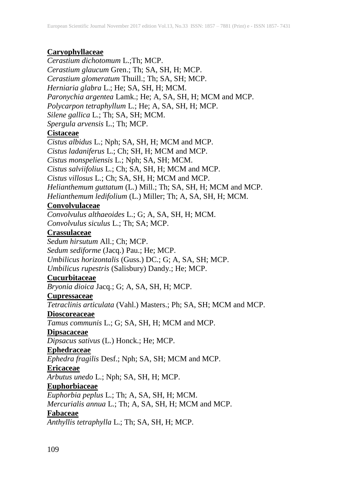### **Caryophyllaceae**

*Cerastium dichotomum* L.;Th; MCP.

*Cerastium glaucum* Gren.; Th; SA, SH, H; MCP.

*Cerastium glomeratum* Thuill.; Th; SA, SH; MCP.

*Herniaria glabra* L.; He; SA, SH, H; MCM.

*Paronychia argentea* Lamk.; He; A, SA, SH, H; MCM and MCP.

*Polycarpon tetraphyllum* L.; He; A, SA, SH, H; MCP.

*Silene gallica* L.; Th; SA, SH; MCM.

*Spergula arvensis* L.; Th; MCP.

## **Cistaceae**

*Cistus albidus* L.; Nph; SA, SH, H; MCM and MCP. *Cistus ladaniferus* L.; Ch; SH, H; MCM and MCP.

*Cistus monspeliensis* L.; Nph; SA, SH; MCM.

*Cistus salviifolius* L.; Ch; SA, SH, H; MCM and MCP.

*Cistus villosus* L.; Ch; SA, SH, H; MCM and MCP.

*Helianthemum guttatum* (L.) Mill.; Th; SA, SH, H; MCM and MCP.

*Helianthemum ledifolium* (L.) Miller; Th; A, SA, SH, H; MCM.

## **Convolvulaceae**

*Convolvulus althaeoides* L.; G; A, SA, SH, H; MCM. *Convolvulus siculus* L.; Th; SA; MCP.

### **Crassulaceae**

*Sedum hirsutum* All.; Ch; MCP.

*Sedum sediforme* (Jacq.) Pau.; He; MCP.

*Umbilicus horizontalis* (Guss.) DC.; G; A, SA, SH; MCP.

*Umbilicus rupestris* (Salisbury) Dandy.; He; MCP.

## **Cucurbitaceae**

*Bryonia dioica* Jacq.; G; A, SA, SH, H; MCP.

#### **Cupressaceae**

*Tetraclinis articulata* (Vahl.) Masters.; Ph; SA, SH; MCM and MCP.

## **Dioscoreaceae**

*Tamus communis* L.; G; SA, SH, H; MCM and MCP.

#### **Dipsacaceae**

*Dipsacus sativus* (L.) Honck.; He; MCP.

#### **Ephedraceae**

*Ephedra fragilis* Desf.; Nph; SA, SH; MCM and MCP.

#### **Ericaceae**

*Arbutus unedo* L.; Nph; SA, SH, H; MCP.

## **Euphorbiaceae**

*Euphorbia peplus* L.; Th; A, SA, SH, H; MCM.

*Mercurialis annua* L.; Th; A, SA, SH, H; MCM and MCP.

#### **Fabaceae**

*Anthyllis tetraphylla* L.; Th; SA, SH, H; MCP.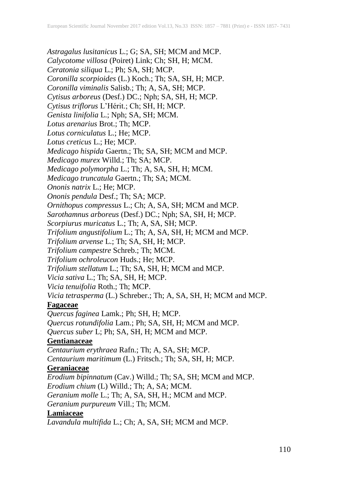*Astragalus lusitanicus* L.; G; SA, SH; MCM and MCP. *Calycotome villosa* (Poiret) Link; Ch; SH, H; MCM. *Ceratonia siliqua* L.; Ph; SA, SH; MCP. *Coronilla scorpioides* (L.) Koch.; Th; SA, SH, H; MCP. *Coronilla viminalis* Salisb.; Th; A, SA, SH; MCP. *Cytisus arboreus* (Desf.) DC.; Nph; SA, SH, H; MCP. *Cytisus triflorus* L'Hérit.; Ch; SH, H; MCP. *Genista linifolia* L.; Nph; SA, SH; MCM. *Lotus arenarius* Brot.; Th; MCP. *Lotus corniculatus* L.; He; MCP. *Lotus creticus* L.; He; MCP. *Medicago hispida* Gaertn.; Th; SA, SH; MCM and MCP. *Medicago murex* Willd.; Th; SA; MCP. *Medicago polymorpha* L.; Th; A, SA, SH, H; MCM. *Medicago truncatula* Gaertn.; Th; SA; MCM. *Ononis natrix* L.; He; MCP. *Ononis pendula* Desf.; Th; SA; MCP. *Ornithopus compressus* L.; Ch; A, SA, SH; MCM and MCP. *Sarothamnus arboreus* (Desf.) DC.; Nph; SA, SH, H; MCP. *Scorpiurus muricatus* L.; Th; A, SA, SH; MCP. *Trifolium angustifolium* L.; Th; A, SA, SH, H; MCM and MCP. *Trifolium arvense* L.; Th; SA, SH, H; MCP. *Trifolium campestre* Schreb.; Th; MCM. *Trifolium ochroleucon* Huds.; He; MCP. *Trifolium stellatum* L.; Th; SA, SH, H; MCM and MCP. *Vicia sativa* L.; Th; SA, SH, H; MCP. *Vicia tenuifolia* Roth.; Th; MCP. *Vicia tetrasperma* (L.) Schreber.; Th; A, SA, SH, H; MCM and MCP. **Fagaceae** *Quercus faginea* Lamk.; Ph; SH, H; MCP. *Quercus rotundifolia* Lam.; Ph; SA, SH, H; MCM and MCP. *Quercus suber* L; Ph; SA, SH, H; MCM and MCP. **Gentianaceae** *Centaurium erythraea* Rafn.; Th; A, SA, SH; MCP. *Centaurium maritimum* (L.) Fritsch.; Th; SA, SH, H; MCP. **Geraniaceae** *Erodium bipinnatum* (Cav.) Willd.; Th; SA, SH; MCM and MCP. *Erodium chium* (L) Willd.; Th; A, SA; MCM. *Geranium molle* L.; Th; A, SA, SH, H.; MCM and MCP. *Geranium purpureum* Vill.; Th; MCM.

**Lamiaceae**

*Lavandula multifida* L.; Ch; A, SA, SH; MCM and MCP.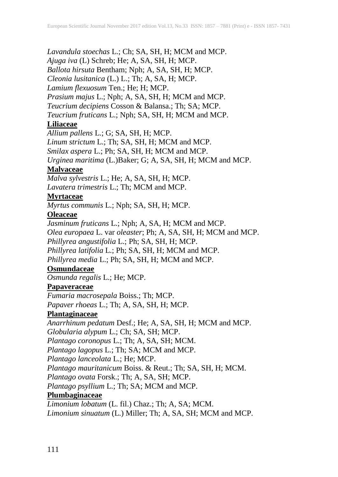*Lavandula stoechas* L.; Ch; SA, SH, H; MCM and MCP. *Ajuga iva* (L) Schreb; He; A, SA, SH, H; MCP. *Ballota hirsuta* Bentham; Nph; A, SA, SH, H; MCP. *Cleonia lusitanica* (L.) L.; Th; A, SA, H; MCP. *Lamium flexuosum* Ten.; He; H; MCP. *Prasium majus* L.; Nph; A, SA, SH, H; MCM and MCP. *Teucrium decipiens* Cosson & Balansa.; Th; SA; MCP. *Teucrium fruticans* L.; Nph; SA, SH, H; MCM and MCP.

## **Liliaceae**

*Allium pallens* L.; G; SA, SH, H; MCP. *Linum strictum* L.; Th; SA, SH, H; MCM and MCP. *Smilax aspera* L.; Ph; SA, SH, H; MCM and MCP. *Urginea maritima* (L.)Baker; G; A, SA, SH, H; MCM and MCP.

### **Malvaceae**

*Malva sylvestris* L.; He; A, SA, SH, H; MCP. *Lavatera trimestris* L.; Th; MCM and MCP.

### **Myrtaceae**

*Myrtus communis* L.; Nph; SA, SH, H; MCP.

#### **Oleaceae**

*Jasminum fruticans* L.; Nph; A, SA, H; MCM and MCP. *Olea europaea* L. var *oleaster*; Ph; A, SA, SH, H; MCM and MCP. *Phillyrea angustifolia* L.; Ph; SA, SH, H; MCP. *Phillyrea latifolia* L.; Ph; SA, SH, H; MCM and MCP.

*Phillyrea media* L.; Ph; SA, SH, H; MCM and MCP.

### **Osmundaceae**

*Osmunda regalis* L.; He; MCP.

## **Papaveraceae**

*Fumaria macrosepala* Boiss.; Th; MCP. *Papaver rhoeas* L.; Th; A, SA, SH, H; MCP.

#### **Plantaginaceae**

*Anarrhinum pedatum* Desf.; He; A, SA, SH, H; MCM and MCP.

*Globularia alypum* L.; Ch; SA, SH; MCP.

*Plantago coronopus* L.; Th; A, SA, SH; MCM.

*Plantago lagopus* L.; Th; SA; MCM and MCP.

*Plantago lanceolata* L.; He; MCP.

*Plantago mauritanicum* Boiss. & Reut.; Th; SA, SH, H; MCM.

*Plantago ovata* Forsk.; Th; A, SA, SH; MCP.

*Plantago psyllium* L.; Th; SA; MCM and MCP.

## **Plumbaginaceae**

*Limonium lobatum* (L. fil.) Chaz.; Th; A, SA; MCM. *Limonium sinuatum* (L.) Miller; Th; A, SA, SH; MCM and MCP.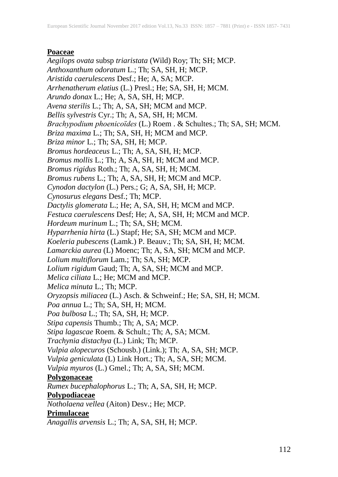## **Poaceae**

*Aegilops ovata* subsp *triaristata* (Wild) Roy; Th; SH; MCP. *Anthoxanthum odoratum* L.; Th; SA, SH, H; MCP. *Aristida caerulescens* Desf.; He; A, SA; MCP. *Arrhenatherum elatius* (L.) Presl.; He; SA, SH, H; MCM. *Arundo donax* L.; He; A, SA, SH, H; MCP. *Avena sterilis* L.; Th; A, SA, SH; MCM and MCP. *Bellis sylvestris* Cyr.; Th; A, SA, SH, H; MCM. *Brachypodium phoenicoïdes* (L.) Roem . & Schultes.; Th; SA, SH; MCM. *Briza maxima* L.; Th; SA, SH, H; MCM and MCP. *Briza minor* L.; Th; SA, SH, H; MCP. *Bromus hordeaceus* L.; Th; A, SA, SH, H; MCP. *Bromus mollis* L.; Th; A, SA, SH, H; MCM and MCP. *Bromus rigidus* Roth.; Th; A, SA, SH, H; MCM. *Bromus rubens* L.; Th; A, SA, SH, H; MCM and MCP. *Cynodon dactylon* (L.) Pers.; G; A, SA, SH, H; MCP. *Cynosurus elegans* Desf.; Th; MCP. *Dactylis glomerata* L.; He; A, SA, SH, H; MCM and MCP. *Festuca caerulescens* Desf; He; A, SA, SH, H; MCM and MCP. *Hordeum murinum* L.; Th; SA, SH; MCM. *Hyparrhenia hirta* (L.) Stapf; He; SA, SH; MCM and MCP. *Koeleria pubescens* (Lamk.) P. Beauv.; Th; SA, SH, H; MCM. *Lamarckia aurea* (L) Moenc; Th; A, SA, SH; MCM and MCP. *Lolium multiflorum* Lam.; Th; SA, SH; MCP. *Lolium rigidum* Gaud; Th; A, SA, SH; MCM and MCP. *Melica ciliata* L.; He; MCM and MCP. *Melica minuta* L.; Th; MCP. *Oryzopsis miliacea* (L.) Asch. & Schweinf.; He; SA, SH, H; MCM. *Poa annua* L.; Th; SA, SH, H; MCM. *Poa bulbosa* L.; Th; SA, SH, H; MCP. *Stipa capensis* Thumb.; Th; A, SA; MCP. *Stipa lagascae* Roem. & Schult.; Th; A, SA; MCM. *Trachynia distachya* (L.) Link; Th; MCP. *Vulpia alopecuros* (Schousb.) (Link.); Th; A, SA, SH; MCP. *Vulpia geniculata* (L) Link Hort.; Th; A, SA, SH; MCM. *Vulpia myuros* (L.) Gmel.; Th; A, SA, SH; MCM. **Polygonaceae** *Rumex bucephalophorus* L.; Th; A, SA, SH, H; MCP. **Polypodiaceae** *Notholaena vellea* (Aiton) Desv.; He; MCP. **Primulaceae**

*Anagallis arvensis* L.; Th; A, SA, SH, H; MCP.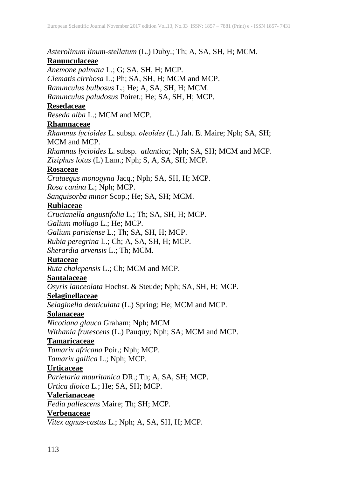*Asterolinum linum-stellatum* (L.) Duby.; Th; A, SA, SH, H; MCM.

## **Ranunculaceae**

*Anemone palmata* L.; G; SA, SH, H; MCP.

*Clematis cirrhosa* L.; Ph; SA, SH, H; MCM and MCP.

*Ranunculus bulbosus* L.; He; A, SA, SH, H; MCM.

*Ranunculus paludosus* Poiret.; He; SA, SH, H; MCP.

## **Resedaceae**

*Reseda alba* L.; MCM and MCP.

## **Rhamnaceae**

*Rhamnus lycioïdes* L. subsp. *oleoïdes* (L.) Jah. Et Maire; Nph; SA, SH; MCM and MCP.

*Rhamnus lycioides* L. subsp. *atlantica*; Nph; SA, SH; MCM and MCP. *Ziziphus lotus* (L) Lam.; Nph; S, A, SA, SH; MCP.

## **Rosaceae**

*Crataegus monogyna* Jacq.; Nph; SA, SH, H; MCP. *Rosa canina* L.; Nph; MCP.

*Sanguisorba minor* Scop.; He; SA, SH; MCM.

## **Rubiaceae**

*Crucianella angustifolia* L.; Th; SA, SH, H; MCP. *Galium mollugo* L.; He; MCP.

*Galium parisiense* L.; Th; SA, SH, H; MCP.

*Rubia peregrina* L.; Ch; A, SA, SH, H; MCP.

*Sherardia arvensis* L.; Th; MCM.

## **Rutaceae**

*Ruta chalepensis* L.; Ch; MCM and MCP.

## **Santalaceae**

*Osyris lanceolata* Hochst. & Steude; Nph; SA, SH, H; MCP.

## **Selaginellaceae**

*Selaginella denticulata* (L.) Spring; He; MCM and MCP.

#### **Solanaceae**

*Nicotiana glauca* Graham; Nph; MCM *Withania frutescens* (L.) Pauquy; Nph; SA; MCM and MCP.

## **Tamaricaceae**

*Tamarix africana* Poir.; Nph; MCP.

*Tamarix gallica* L.; Nph; MCP.

## **Urticaceae**

*Parietaria mauritanica* DR.; Th; A, SA, SH; MCP. *Urtica dioica* L.; He; SA, SH; MCP.

## **Valerianaceae**

*Fedia pallescens* Maire; Th; SH; MCP.

## **Verbenaceae**

*Vitex agnus-castus* L.; Nph; A, SA, SH, H; MCP.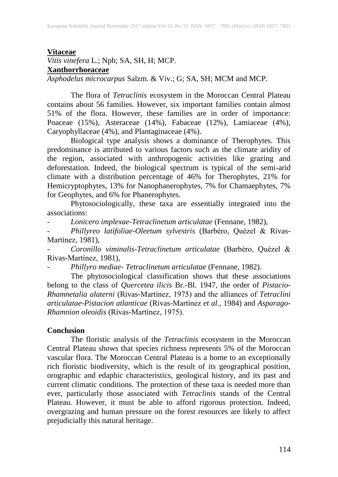#### **Vitaceae**

*Vitis vinefera* L.; Nph; SA, SH, H; MCP.

**Xanthorrhoeaceae**

*Asphodelus microcarpus* Salzm. & Viv.; G; SA, SH; MCM and MCP.

The flora of *Tetraclinis* ecosystem in the Moroccan Central Plateau contains about 56 families. However, six important families contain almost 51% of the flora. However, these families are in order of importance: Poaceae (15%), Asteraceae (14%), Fabaceae (12%), Lamiaceae (4%), Caryophyllaceae (4%), and Plantaginaceae (4%).

Biological type analysis shows a dominance of Therophytes. This predominance is attributed to various factors such as the climate aridity of the region, associated with anthropogenic activities like grazing and deforestation. Indeed, the biological spectrum is typical of the semi-arid climate with a distribution percentage of 46% for Therophytes, 21% for Hemicryptophytes, 13% for Nanophanerophytes, 7% for Chamaephytes, 7% for Geophytes, and 6% for Phanerophytes.

Phytosociologically, these taxa are essentially integrated into the associations:

*- Lonicero implexae*-*Tetraclinetum articulatae* (Fennane, 1982),

*- Phillyreo latifoliae-Oleetum sylvestris* (Barbéro, Quézel & Rivas-Martínez, 1981),

*- Coronillo viminalis-Tetraclinetum articulatae* (Barbéro, Quézel & Rivas-Martínez, 1981),

*- Phillyro mediae- Tetraclinetum articulatae* (Fennane, 1982).

The phytosociological classification shows that these associations belong to the class of *Quercetea ilicis* Br.-Bl. 1947, the order of *Pistacio-Rhamnetalia alaterni* (Rivas-Martínez, 1975) and the alliances of *Tetraclini articulatae-Pistacion atlanticae* (Rivas-Martínez *et al.,* 1984) and *Asparago-Rhamnion oleoidis* (Rivas-Martínez, 1975).

#### **Conclusion**

The floristic analysis of the *Tetraclinis* ecosystem in the Moroccan Central Plateau shows that species richness represents 5% of the Moroccan vascular flora. The Moroccan Central Plateau is a home to an exceptionally rich floristic biodiversity, which is the result of its geographical position, orographic and edaphic characteristics, geological history, and its past and current climatic conditions. The protection of these taxa is needed more than ever, particularly those associated with *Tetraclinis* stands of the Central Plateau. However, it must be able to afford rigorous protection. Indeed, overgrazing and human pressure on the forest resources are likely to affect prejudicially this natural heritage.